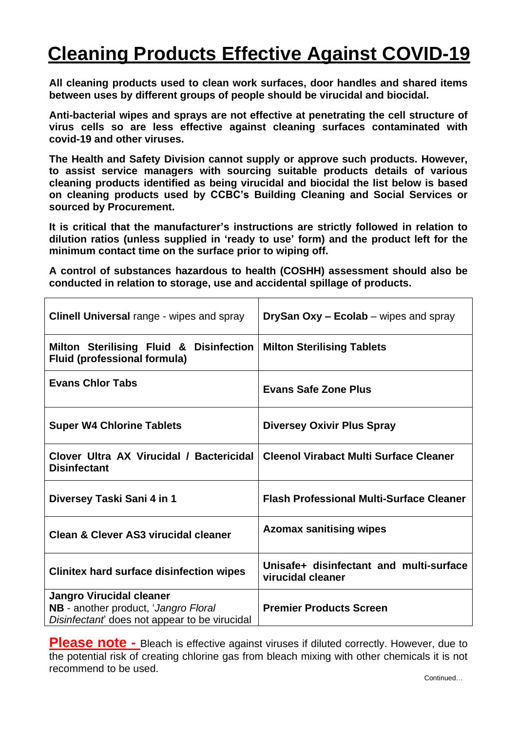## **Cleaning Products Effective Against COVID-19**

**All cleaning products used to clean work surfaces, door handles and shared items between uses by different groups of people should be virucidal and biocidal.**

**Anti-bacterial wipes and sprays are not effective at penetrating the cell structure of virus cells so are less effective against cleaning surfaces contaminated with covid-19 and other viruses.**

**The Health and Safety Division cannot supply or approve such products. However, to assist service managers with sourcing suitable products details of various cleaning products identified as being virucidal and biocidal the list below is based on cleaning products used by CCBC's Building Cleaning and Social Services or sourced by Procurement.**

**It is critical that the manufacturer's instructions are strictly followed in relation to dilution ratios (unless supplied in 'ready to use' form) and the product left for the minimum contact time on the surface prior to wiping off.**

**A control of substances hazardous to health (COSHH) assessment should also be conducted in relation to storage, use and accidental spillage of products.**

| <b>Clinell Universal range - wipes and spray</b>                                                                        | <b>DrySan Oxy – Ecolab</b> – wipes and spray                 |
|-------------------------------------------------------------------------------------------------------------------------|--------------------------------------------------------------|
| Milton Sterilising Fluid & Disinfection<br><b>Fluid (professional formula)</b>                                          | <b>Milton Sterilising Tablets</b>                            |
| <b>Evans Chlor Tabs</b>                                                                                                 | <b>Evans Safe Zone Plus</b>                                  |
| <b>Super W4 Chlorine Tablets</b>                                                                                        | <b>Diversey Oxivir Plus Spray</b>                            |
| Clover Ultra AX Virucidal / Bactericidal<br><b>Disinfectant</b>                                                         | <b>Cleenol Virabact Multi Surface Cleaner</b>                |
| Diversey Taski Sani 4 in 1                                                                                              | <b>Flash Professional Multi-Surface Cleaner</b>              |
| Clean & Clever AS3 virucidal cleaner                                                                                    | <b>Azomax sanitising wipes</b>                               |
| <b>Clinitex hard surface disinfection wipes</b>                                                                         | Unisafe+ disinfectant and multi-surface<br>virucidal cleaner |
| <b>Jangro Virucidal cleaner</b><br>NB - another product, 'Jangro Floral<br>Disinfectant does not appear to be virucidal | <b>Premier Products Screen</b>                               |

**Please note** - Bleach is effective against viruses if diluted correctly. However, due to the potential risk of creating chlorine gas from bleach mixing with other chemicals it is not recommend to be used.